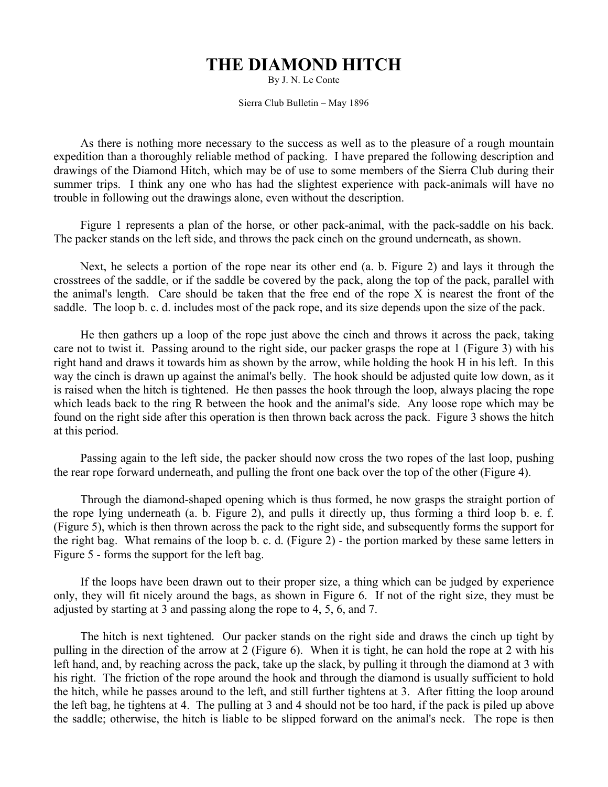## **THE DIAMOND HITCH**

By J. N. Le Conte

Sierra Club Bulletin – May 1896

As there is nothing more necessary to the success as well as to the pleasure of a rough mountain expedition than a thoroughly reliable method of packing. I have prepared the following description and drawings of the Diamond Hitch, which may be of use to some members of the Sierra Club during their summer trips. I think any one who has had the slightest experience with pack-animals will have no trouble in following out the drawings alone, even without the description.

Figure 1 represents a plan of the horse, or other pack-animal, with the pack-saddle on his back. The packer stands on the left side, and throws the pack cinch on the ground underneath, as shown.

Next, he selects a portion of the rope near its other end (a. b. Figure 2) and lays it through the crosstrees of the saddle, or if the saddle be covered by the pack, along the top of the pack, parallel with the animal's length. Care should be taken that the free end of the rope X is nearest the front of the saddle. The loop b. c. d. includes most of the pack rope, and its size depends upon the size of the pack.

He then gathers up a loop of the rope just above the cinch and throws it across the pack, taking care not to twist it. Passing around to the right side, our packer grasps the rope at 1 (Figure 3) with his right hand and draws it towards him as shown by the arrow, while holding the hook H in his left. In this way the cinch is drawn up against the animal's belly. The hook should be adjusted quite low down, as it is raised when the hitch is tightened. He then passes the hook through the loop, always placing the rope which leads back to the ring R between the hook and the animal's side. Any loose rope which may be found on the right side after this operation is then thrown back across the pack. Figure 3 shows the hitch at this period.

Passing again to the left side, the packer should now cross the two ropes of the last loop, pushing the rear rope forward underneath, and pulling the front one back over the top of the other (Figure 4).

Through the diamond-shaped opening which is thus formed, he now grasps the straight portion of the rope lying underneath (a. b. Figure 2), and pulls it directly up, thus forming a third loop b. e. f. (Figure 5), which is then thrown across the pack to the right side, and subsequently forms the support for the right bag. What remains of the loop b. c. d. (Figure 2) - the portion marked by these same letters in Figure 5 - forms the support for the left bag.

If the loops have been drawn out to their proper size, a thing which can be judged by experience only, they will fit nicely around the bags, as shown in Figure 6. If not of the right size, they must be adjusted by starting at 3 and passing along the rope to 4, 5, 6, and 7.

The hitch is next tightened. Our packer stands on the right side and draws the cinch up tight by pulling in the direction of the arrow at 2 (Figure 6). When it is tight, he can hold the rope at 2 with his left hand, and, by reaching across the pack, take up the slack, by pulling it through the diamond at 3 with his right. The friction of the rope around the hook and through the diamond is usually sufficient to hold the hitch, while he passes around to the left, and still further tightens at 3. After fitting the loop around the left bag, he tightens at 4. The pulling at 3 and 4 should not be too hard, if the pack is piled up above the saddle; otherwise, the hitch is liable to be slipped forward on the animal's neck. The rope is then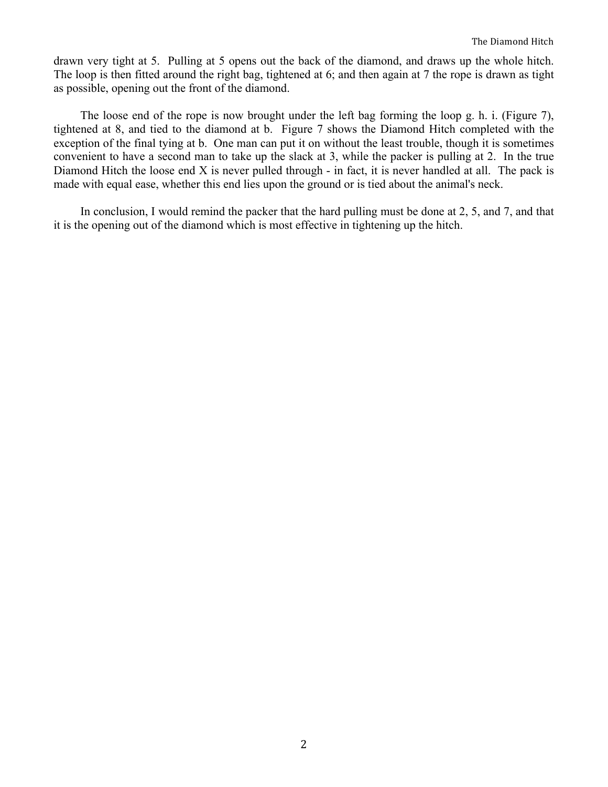drawn very tight at 5. Pulling at 5 opens out the back of the diamond, and draws up the whole hitch. The loop is then fitted around the right bag, tightened at 6; and then again at 7 the rope is drawn as tight as possible, opening out the front of the diamond.

The loose end of the rope is now brought under the left bag forming the loop g. h. i. (Figure 7), tightened at 8, and tied to the diamond at b. Figure 7 shows the Diamond Hitch completed with the exception of the final tying at b. One man can put it on without the least trouble, though it is sometimes convenient to have a second man to take up the slack at 3, while the packer is pulling at 2. In the true Diamond Hitch the loose end X is never pulled through - in fact, it is never handled at all. The pack is made with equal ease, whether this end lies upon the ground or is tied about the animal's neck.

In conclusion, I would remind the packer that the hard pulling must be done at 2, 5, and 7, and that it is the opening out of the diamond which is most effective in tightening up the hitch.